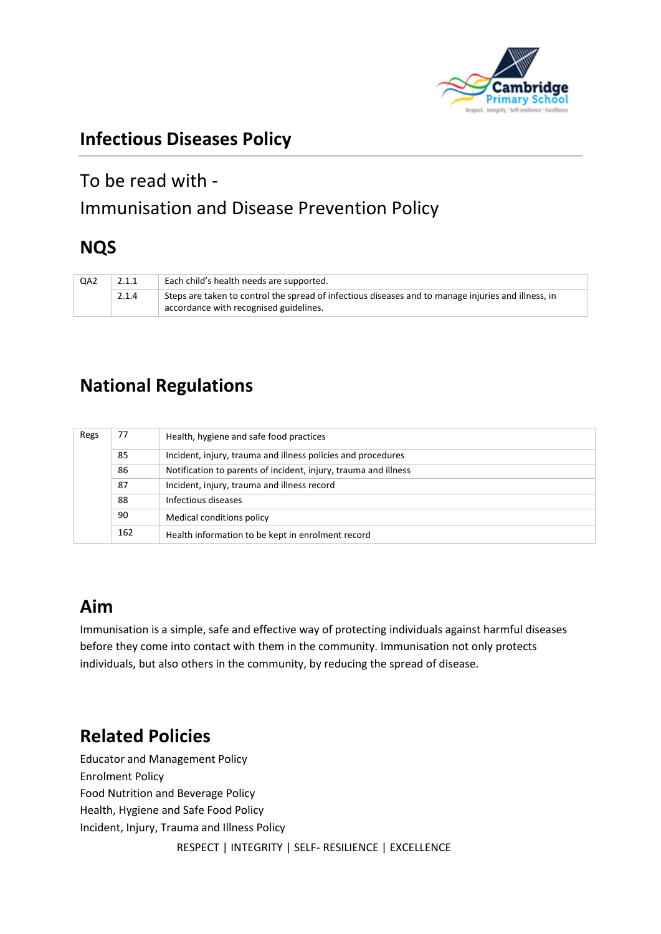

## **Infectious Diseases Policy**

# To be read with - Immunisation and Disease Prevention Policy

## **NQS**

| QA <sub>2</sub> | 2.1.1 | Each child's health needs are supported.                                                                                                      |
|-----------------|-------|-----------------------------------------------------------------------------------------------------------------------------------------------|
|                 | 2.1.4 | Steps are taken to control the spread of infectious diseases and to manage injuries and illness, in<br>accordance with recognised guidelines. |

# **National Regulations**

| Regs | 77  | Health, hygiene and safe food practices                         |
|------|-----|-----------------------------------------------------------------|
|      | 85  | Incident, injury, trauma and illness policies and procedures    |
|      | 86  | Notification to parents of incident, injury, trauma and illness |
|      | 87  | Incident, injury, trauma and illness record                     |
|      | 88  | Infectious diseases                                             |
|      | 90  | Medical conditions policy                                       |
|      | 162 | Health information to be kept in enrolment record               |

## **Aim**

Immunisation is a simple, safe and effective way of protecting individuals against harmful diseases before they come into contact with them in the community. Immunisation not only protects individuals, but also others in the community, by reducing the spread of disease.

# **Related Policies**

 RESPECT | INTEGRITY | SELF- RESILIENCE | EXCELLENCE Educator and Management Policy Enrolment Policy Food Nutrition and Beverage Policy Health, Hygiene and Safe Food Policy Incident, Injury, Trauma and Illness Policy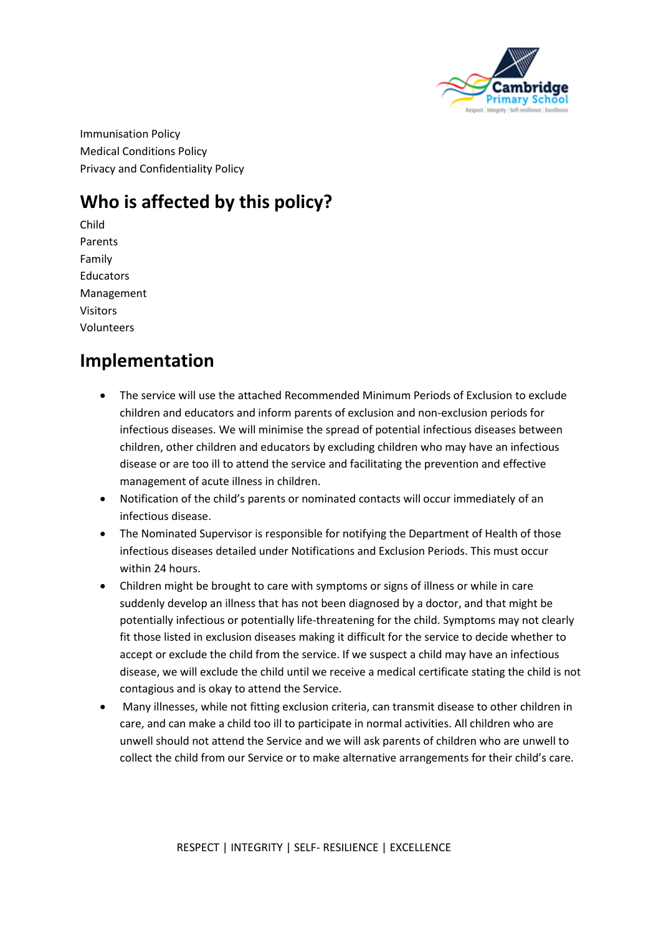

Immunisation Policy Medical Conditions Policy Privacy and Confidentiality Policy

# **Who is affected by this policy?**

Child Parents Family **Educators** Management Visitors Volunteers

## **Implementation**

- The service will use the attached Recommended Minimum Periods of Exclusion to exclude children and educators and inform parents of exclusion and non-exclusion periods for infectious diseases. We will minimise the spread of potential infectious diseases between children, other children and educators by excluding children who may have an infectious disease or are too ill to attend the service and facilitating the prevention and effective management of acute illness in children.
- Notification of the child's parents or nominated contacts will occur immediately of an infectious disease.
- The Nominated Supervisor is responsible for notifying the Department of Health of those infectious diseases detailed under Notifications and Exclusion Periods. This must occur within 24 hours.
- Children might be brought to care with symptoms or signs of illness or while in care suddenly develop an illness that has not been diagnosed by a doctor, and that might be potentially infectious or potentially life-threatening for the child. Symptoms may not clearly fit those listed in exclusion diseases making it difficult for the service to decide whether to accept or exclude the child from the service. If we suspect a child may have an infectious disease, we will exclude the child until we receive a medical certificate stating the child is not contagious and is okay to attend the Service.
- Many illnesses, while not fitting exclusion criteria, can transmit disease to other children in care, and can make a child too ill to participate in normal activities. All children who are unwell should not attend the Service and we will ask parents of children who are unwell to collect the child from our Service or to make alternative arrangements for their child's care.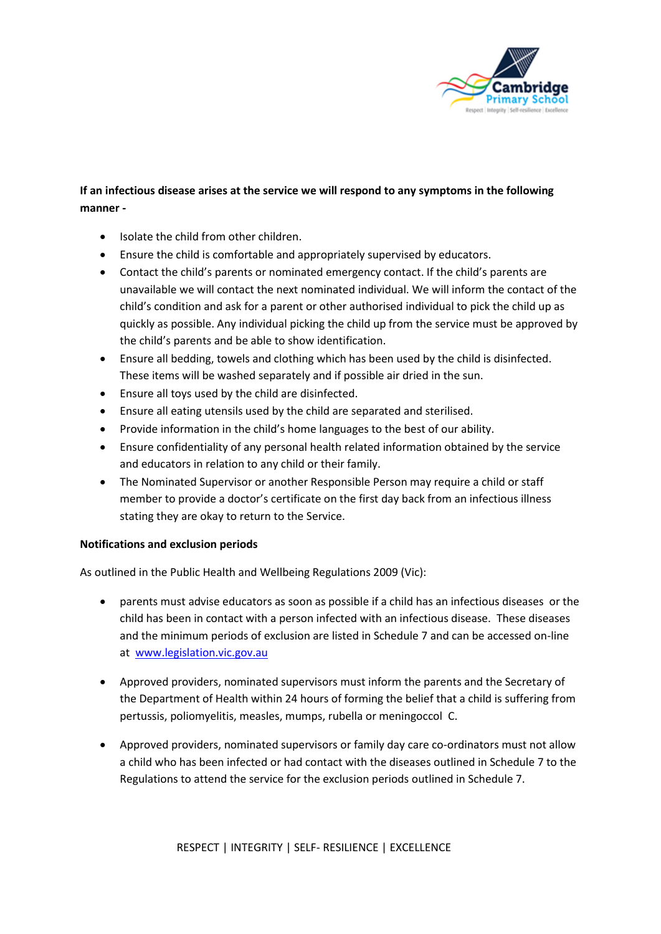

## **If an infectious disease arises at the service we will respond to any symptoms in the following manner -**

- Isolate the child from other children.
- Ensure the child is comfortable and appropriately supervised by educators.
- Contact the child's parents or nominated emergency contact. If the child's parents are unavailable we will contact the next nominated individual. We will inform the contact of the child's condition and ask for a parent or other authorised individual to pick the child up as quickly as possible. Any individual picking the child up from the service must be approved by the child's parents and be able to show identification.
- Ensure all bedding, towels and clothing which has been used by the child is disinfected. These items will be washed separately and if possible air dried in the sun.
- Ensure all toys used by the child are disinfected.
- Ensure all eating utensils used by the child are separated and sterilised.
- Provide information in the child's home languages to the best of our ability.
- Ensure confidentiality of any personal health related information obtained by the service and educators in relation to any child or their family.
- The Nominated Supervisor or another Responsible Person may require a child or staff member to provide a doctor's certificate on the first day back from an infectious illness stating they are okay to return to the Service.

## **Notifications and exclusion periods**

As outlined in the Public Health and Wellbeing Regulations 2009 (Vic):

- parents must advise educators as soon as possible if a child has an infectious diseases or the child has been in contact with a person infected with an infectious disease. These diseases and the minimum periods of exclusion are listed in Schedule 7 and can be accessed on-line at [www.legislation.vic.gov.au](http://www.legislation.vic.gov.au/)
- Approved providers, nominated supervisors must inform the parents and the Secretary of the Department of Health within 24 hours of forming the belief that a child is suffering from pertussis, poliomyelitis, measles, mumps, rubella or meningoccol C.
- Approved providers, nominated supervisors or family day care co-ordinators must not allow a child who has been infected or had contact with the diseases outlined in Schedule 7 to the Regulations to attend the service for the exclusion periods outlined in Schedule 7.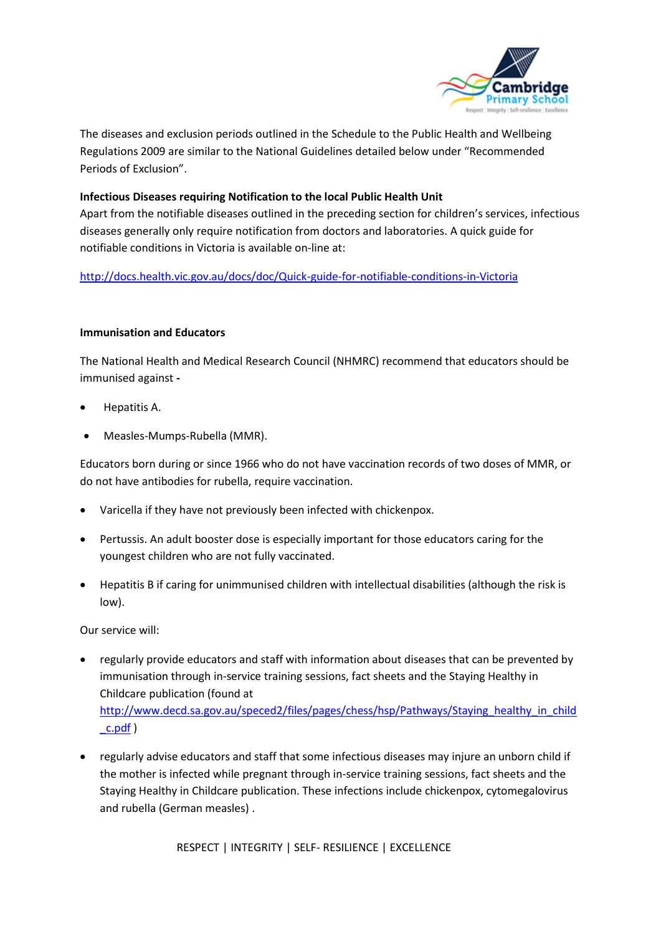

The diseases and exclusion periods outlined in the Schedule to the Public Health and Wellbeing Regulations 2009 are similar to the National Guidelines detailed below under "Recommended Periods of Exclusion".

## **Infectious Diseases requiring Notification to the local Public Health Unit**

Apart from the notifiable diseases outlined in the preceding section for children's services, infectious diseases generally only require notification from doctors and laboratories. A quick guide for notifiable conditions in Victoria is available on-line at:

<http://docs.health.vic.gov.au/docs/doc/Quick-guide-for-notifiable-conditions-in-Victoria>

## **Immunisation and Educators**

The National Health and Medical Research Council (NHMRC) recommend that educators should be immunised against **-**

- Hepatitis A.
- Measles-Mumps-Rubella (MMR).

Educators born during or since 1966 who do not have vaccination records of two doses of MMR, or do not have antibodies for rubella, require vaccination.

- Varicella if they have not previously been infected with chickenpox.
- Pertussis. An adult booster dose is especially important for those educators caring for the youngest children who are not fully vaccinated.
- Hepatitis B if caring for unimmunised children with intellectual disabilities (although the risk is low).

Our service will:

- regularly provide educators and staff with information about diseases that can be prevented by immunisation through in-service training sessions, fact sheets and the Staying Healthy in Childcare publication (found at [http://www.decd.sa.gov.au/speced2/files/pages/chess/hsp/Pathways/Staying\\_healthy\\_in\\_child](http://www.decd.sa.gov.au/speced2/files/pages/chess/hsp/Pathways/Staying_healthy_in_child_c.pdf) [\\_c.pdf](http://www.decd.sa.gov.au/speced2/files/pages/chess/hsp/Pathways/Staying_healthy_in_child_c.pdf) )
- regularly advise educators and staff that some infectious diseases may injure an unborn child if the mother is infected while pregnant through in-service training sessions, fact sheets and the Staying Healthy in Childcare publication. These infections include chickenpox, cytomegalovirus and rubella (German measles) .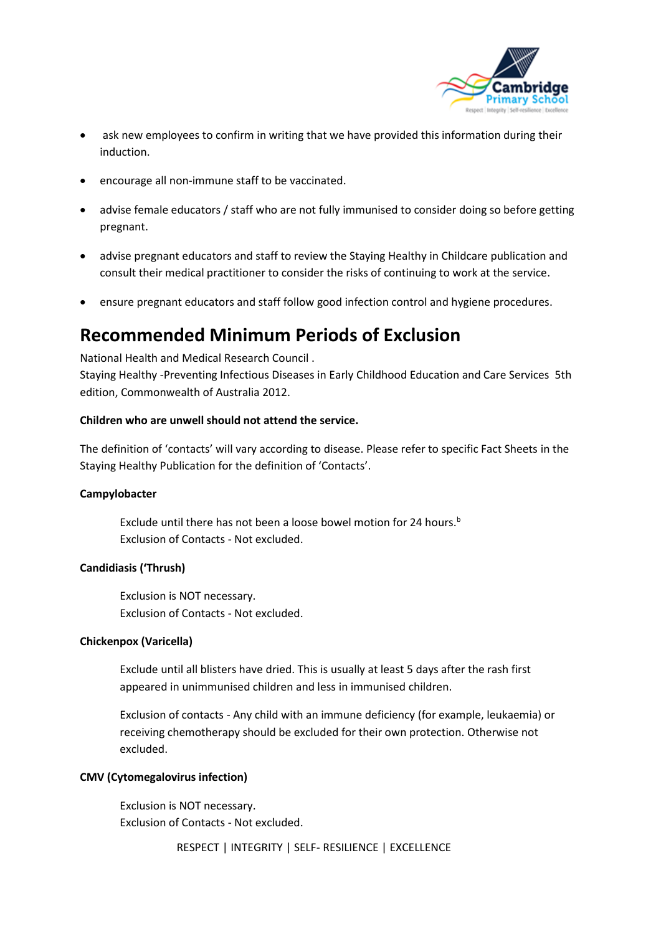

- ask new employees to confirm in writing that we have provided this information during their induction.
- encourage all non-immune staff to be vaccinated.
- advise female educators / staff who are not fully immunised to consider doing so before getting pregnant.
- advise pregnant educators and staff to review the Staying Healthy in Childcare publication and consult their medical practitioner to consider the risks of continuing to work at the service.
- ensure pregnant educators and staff follow good infection control and hygiene procedures.

## **Recommended Minimum Periods of Exclusion**

National Health and Medical Research Council . Staying Healthy -Preventing Infectious Diseases in Early Childhood Education and Care Services 5th edition, Commonwealth of Australia 2012.

## **Children who are unwell should not attend the service.**

The definition of 'contacts' will vary according to disease. Please refer to specific Fact Sheets in the Staying Healthy Publication for the definition of 'Contacts'.

## **Campylobacter**

Exclude until there has not been a loose bowel motion for 24 hours.<sup>b</sup> Exclusion of Contacts - Not excluded.

## **Candidiasis ('Thrush)**

Exclusion is NOT necessary. Exclusion of Contacts - Not excluded.

## **Chickenpox (Varicella)**

Exclude until all blisters have dried. This is usually at least 5 days after the rash first appeared in unimmunised children and less in immunised children.

Exclusion of contacts - Any child with an immune deficiency (for example, leukaemia) or receiving chemotherapy should be excluded for their own protection. Otherwise not excluded.

## **CMV (Cytomegalovirus infection)**

Exclusion is NOT necessary. Exclusion of Contacts - Not excluded.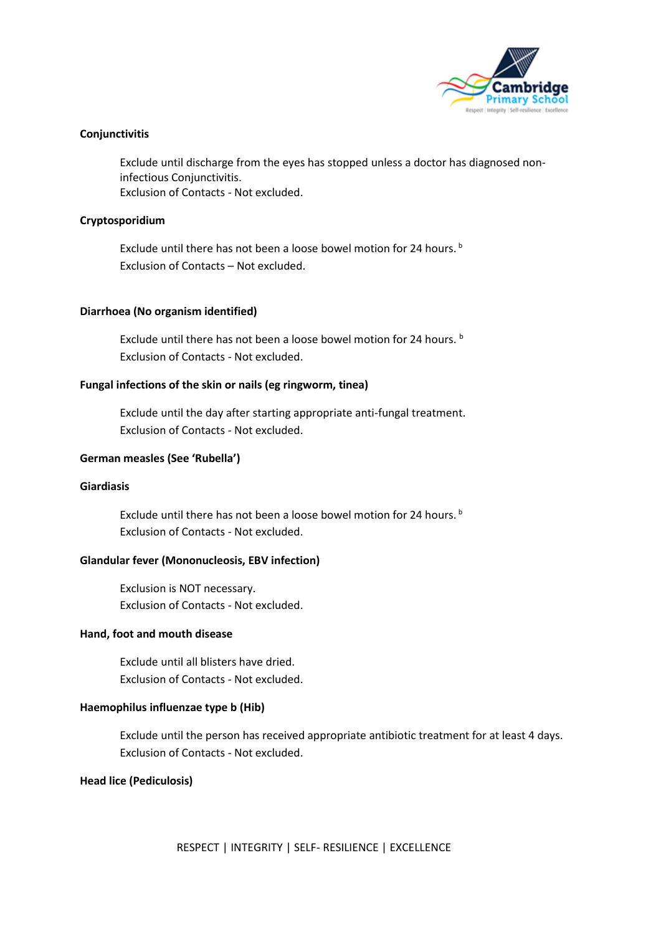

## **Conjunctivitis**

Exclude until discharge from the eyes has stopped unless a doctor has diagnosed noninfectious Conjunctivitis. Exclusion of Contacts - Not excluded.

## **Cryptosporidium**

Exclude until there has not been a loose bowel motion for 24 hours.<sup>b</sup> Exclusion of Contacts – Not excluded.

## **Diarrhoea (No organism identified)**

Exclude until there has not been a loose bowel motion for 24 hours. **b** Exclusion of Contacts - Not excluded.

## **Fungal infections of the skin or nails (eg ringworm, tinea)**

Exclude until the day after starting appropriate anti-fungal treatment. Exclusion of Contacts - Not excluded.

## **German measles (See 'Rubella')**

## **Giardiasis**

Exclude until there has not been a loose bowel motion for 24 hours.<sup>b</sup> Exclusion of Contacts - Not excluded.

## **Glandular fever (Mononucleosis, EBV infection)**

Exclusion is NOT necessary. Exclusion of Contacts - Not excluded.

## **Hand, foot and mouth disease**

Exclude until all blisters have dried. Exclusion of Contacts - Not excluded.

## **Haemophilus influenzae type b (Hib)**

Exclude until the person has received appropriate antibiotic treatment for at least 4 days. Exclusion of Contacts - Not excluded.

## **Head lice (Pediculosis)**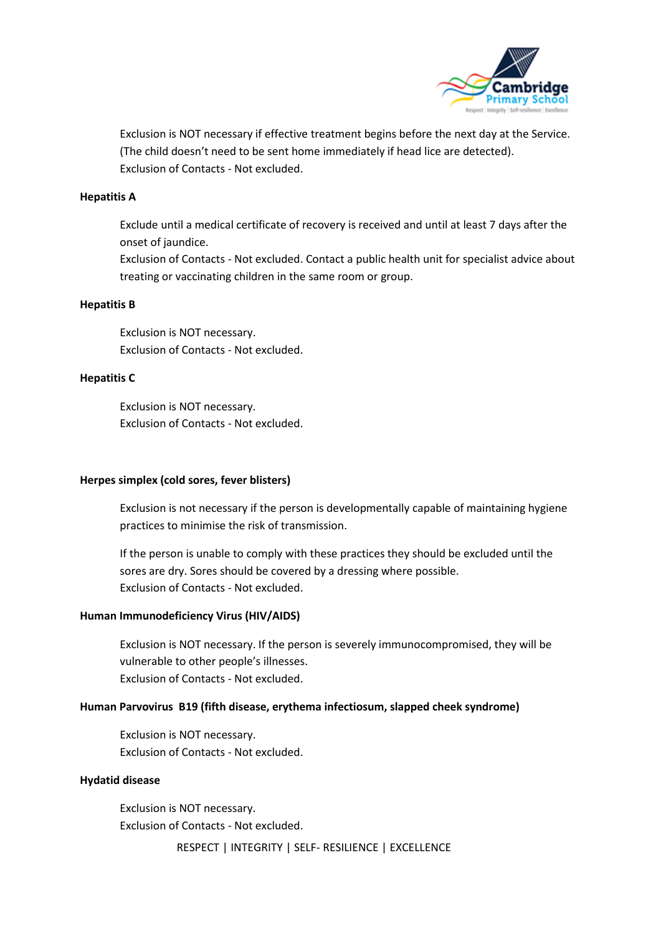

Exclusion is NOT necessary if effective treatment begins before the next day at the Service. (The child doesn't need to be sent home immediately if head lice are detected). Exclusion of Contacts - Not excluded.

### **Hepatitis A**

Exclude until a medical certificate of recovery is received and until at least 7 days after the onset of jaundice.

Exclusion of Contacts - Not excluded. Contact a public health unit for specialist advice about treating or vaccinating children in the same room or group.

#### **Hepatitis B**

Exclusion is NOT necessary. Exclusion of Contacts - Not excluded.

#### **Hepatitis C**

Exclusion is NOT necessary. Exclusion of Contacts - Not excluded.

### **Herpes simplex (cold sores, fever blisters)**

Exclusion is not necessary if the person is developmentally capable of maintaining hygiene practices to minimise the risk of transmission.

If the person is unable to comply with these practices they should be excluded until the sores are dry. Sores should be covered by a dressing where possible. Exclusion of Contacts - Not excluded.

#### **Human Immunodeficiency Virus (HIV/AIDS)**

Exclusion is NOT necessary. If the person is severely immunocompromised, they will be vulnerable to other people's illnesses. Exclusion of Contacts - Not excluded.

## **Human Parvovirus B19 (fifth disease, erythema infectiosum, slapped cheek syndrome)**

Exclusion is NOT necessary. Exclusion of Contacts - Not excluded.

#### **Hydatid disease**

Exclusion is NOT necessary. Exclusion of Contacts - Not excluded.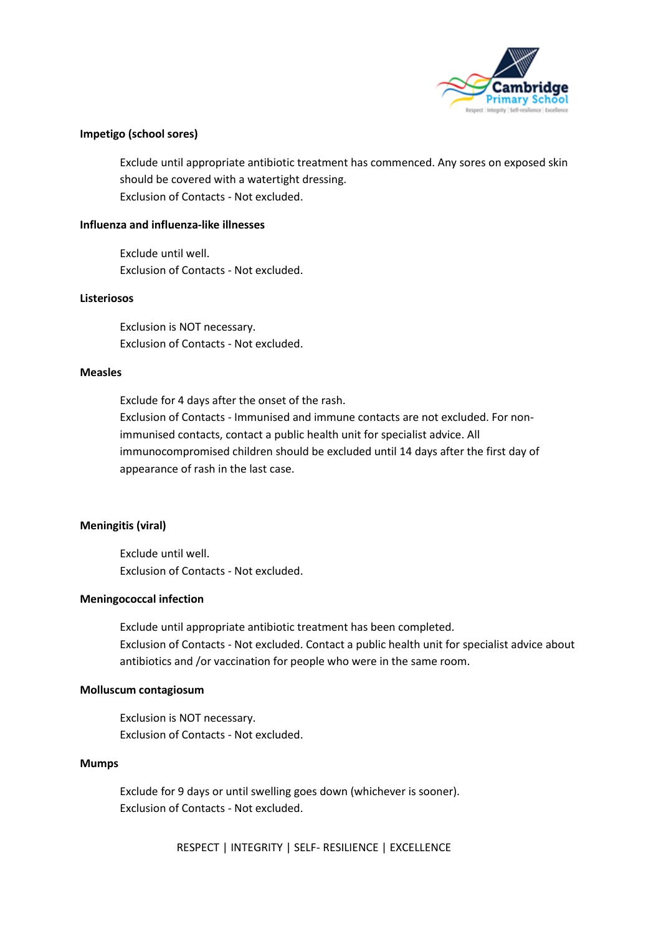

## **Impetigo (school sores)**

Exclude until appropriate antibiotic treatment has commenced. Any sores on exposed skin should be covered with a watertight dressing. Exclusion of Contacts - Not excluded.

#### **Influenza and influenza-like illnesses**

Exclude until well. Exclusion of Contacts - Not excluded.

#### **Listeriosos**

Exclusion is NOT necessary. Exclusion of Contacts - Not excluded.

### **Measles**

Exclude for 4 days after the onset of the rash. Exclusion of Contacts - Immunised and immune contacts are not excluded. For nonimmunised contacts, contact a public health unit for specialist advice. All immunocompromised children should be excluded until 14 days after the first day of appearance of rash in the last case.

## **Meningitis (viral)**

Exclude until well. Exclusion of Contacts - Not excluded.

#### **Meningococcal infection**

Exclude until appropriate antibiotic treatment has been completed. Exclusion of Contacts - Not excluded. Contact a public health unit for specialist advice about antibiotics and /or vaccination for people who were in the same room.

#### **Molluscum contagiosum**

Exclusion is NOT necessary. Exclusion of Contacts - Not excluded.

### **Mumps**

Exclude for 9 days or until swelling goes down (whichever is sooner). Exclusion of Contacts - Not excluded.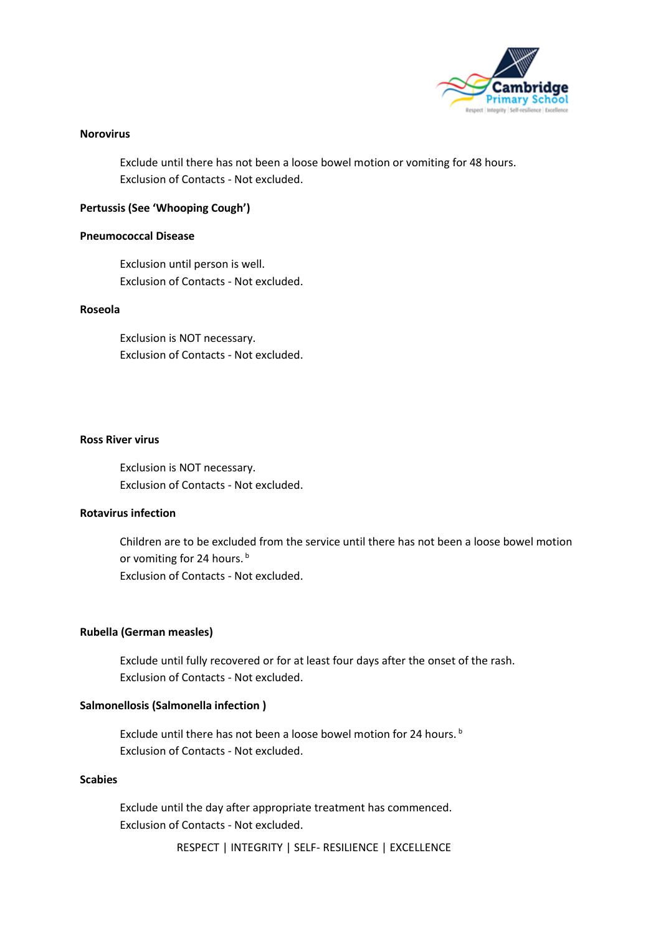

### **Norovirus**

Exclude until there has not been a loose bowel motion or vomiting for 48 hours. Exclusion of Contacts - Not excluded.

## **Pertussis (See 'Whooping Cough')**

### **Pneumococcal Disease**

Exclusion until person is well. Exclusion of Contacts - Not excluded.

### **Roseola**

Exclusion is NOT necessary. Exclusion of Contacts - Not excluded.

#### **Ross River virus**

Exclusion is NOT necessary. Exclusion of Contacts - Not excluded.

## **Rotavirus infection**

Children are to be excluded from the service until there has not been a loose bowel motion or vomiting for 24 hours.<sup>b</sup> Exclusion of Contacts - Not excluded.

## **Rubella (German measles)**

Exclude until fully recovered or for at least four days after the onset of the rash. Exclusion of Contacts - Not excluded.

## **Salmonellosis (Salmonella infection )**

Exclude until there has not been a loose bowel motion for 24 hours.<sup>b</sup> Exclusion of Contacts - Not excluded.

## **Scabies**

Exclude until the day after appropriate treatment has commenced. Exclusion of Contacts - Not excluded.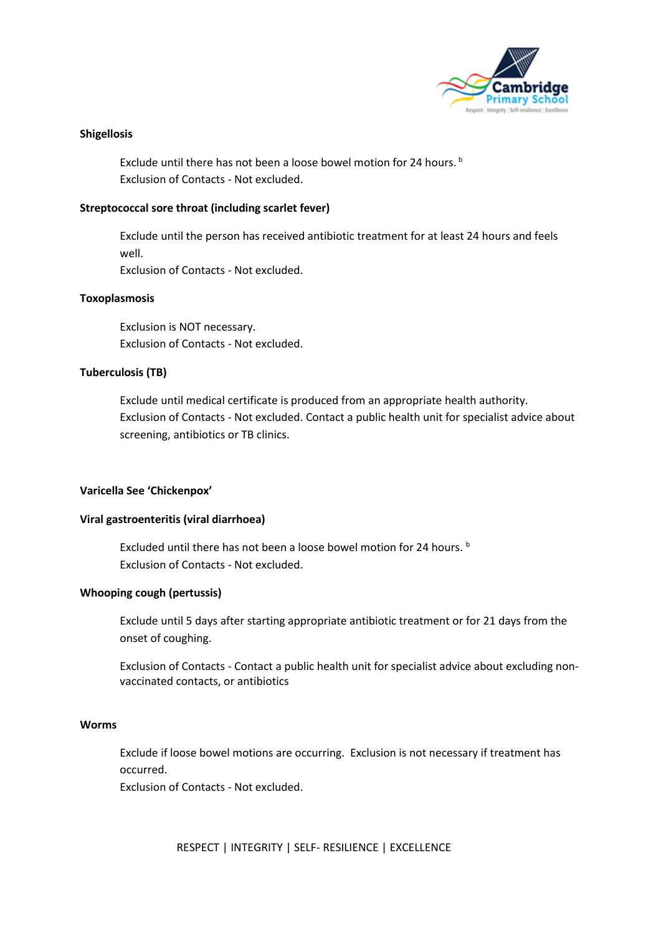

## **Shigellosis**

Exclude until there has not been a loose bowel motion for 24 hours.<sup>b</sup> Exclusion of Contacts - Not excluded.

### **Streptococcal sore throat (including scarlet fever)**

Exclude until the person has received antibiotic treatment for at least 24 hours and feels well.

Exclusion of Contacts - Not excluded.

#### **Toxoplasmosis**

Exclusion is NOT necessary. Exclusion of Contacts - Not excluded.

## **Tuberculosis (TB)**

Exclude until medical certificate is produced from an appropriate health authority. Exclusion of Contacts - Not excluded. Contact a public health unit for specialist advice about screening, antibiotics or TB clinics.

#### **Varicella See 'Chickenpox'**

#### **Viral gastroenteritis (viral diarrhoea)**

Excluded until there has not been a loose bowel motion for 24 hours. **b** Exclusion of Contacts - Not excluded.

#### **Whooping cough (pertussis)**

Exclude until 5 days after starting appropriate antibiotic treatment or for 21 days from the onset of coughing.

Exclusion of Contacts - Contact a public health unit for specialist advice about excluding nonvaccinated contacts, or antibiotics

#### **Worms**

Exclude if loose bowel motions are occurring. Exclusion is not necessary if treatment has occurred.

Exclusion of Contacts - Not excluded.